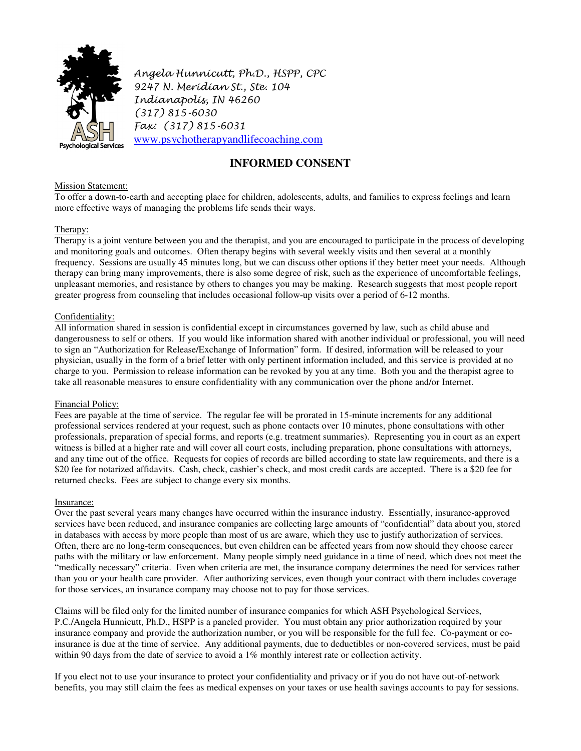

Angela Hunnicutt, Ph.D., HSPP, CPC 9247 N. Meridian St., Ste. 104 Indianapolis, IN 46260 (317) 815-6030 Fax: (317) 815-6031 www.psychotherapyandlifecoaching.com

# **INFORMED CONSENT**

## **Mission Statement:**

To offer a down-to-earth and accepting place for children, adolescents, adults, and families to express feelings and learn more effective ways of managing the problems life sends their ways.

## Therapy:

Therapy is a joint venture between you and the therapist, and you are encouraged to participate in the process of developing and monitoring goals and outcomes. Often therapy begins with several weekly visits and then several at a monthly frequency. Sessions are usually 45 minutes long, but we can discuss other options if they better meet your needs. Although therapy can bring many improvements, there is also some degree of risk, such as the experience of uncomfortable feelings, unpleasant memories, and resistance by others to changes you may be making. Research suggests that most people report greater progress from counseling that includes occasional follow-up visits over a period of 6-12 months.

## Confidentiality:

All information shared in session is confidential except in circumstances governed by law, such as child abuse and dangerousness to self or others. If you would like information shared with another individual or professional, you will need to sign an "Authorization for Release/Exchange of Information" form. If desired, information will be released to your physician, usually in the form of a brief letter with only pertinent information included, and this service is provided at no charge to you. Permission to release information can be revoked by you at any time. Both you and the therapist agree to take all reasonable measures to ensure confidentiality with any communication over the phone and/or Internet.

### Financial Policy:

Fees are payable at the time of service. The regular fee will be prorated in 15-minute increments for any additional professional services rendered at your request, such as phone contacts over 10 minutes, phone consultations with other professionals, preparation of special forms, and reports (e.g. treatment summaries). Representing you in court as an expert witness is billed at a higher rate and will cover all court costs, including preparation, phone consultations with attorneys, and any time out of the office. Requests for copies of records are billed according to state law requirements, and there is a \$20 fee for notarized affidavits. Cash, check, cashier's check, and most credit cards are accepted. There is a \$20 fee for returned checks. Fees are subject to change every six months.

### Insurance:

Over the past several years many changes have occurred within the insurance industry. Essentially, insurance-approved services have been reduced, and insurance companies are collecting large amounts of "confidential" data about you, stored in databases with access by more people than most of us are aware, which they use to justify authorization of services. Often, there are no long-term consequences, but even children can be affected years from now should they choose career paths with the military or law enforcement. Many people simply need guidance in a time of need, which does not meet the "medically necessary" criteria. Even when criteria are met, the insurance company determines the need for services rather than you or your health care provider. After authorizing services, even though your contract with them includes coverage for those services, an insurance company may choose not to pay for those services.

Claims will be filed only for the limited number of insurance companies for which ASH Psychological Services, P.C./Angela Hunnicutt, Ph.D., HSPP is a paneled provider. You must obtain any prior authorization required by your insurance company and provide the authorization number, or you will be responsible for the full fee. Co-payment or coinsurance is due at the time of service. Any additional payments, due to deductibles or non-covered services, must be paid within 90 days from the date of service to avoid a 1% monthly interest rate or collection activity.

If you elect not to use your insurance to protect your confidentiality and privacy or if you do not have out-of-network benefits, you may still claim the fees as medical expenses on your taxes or use health savings accounts to pay for sessions.